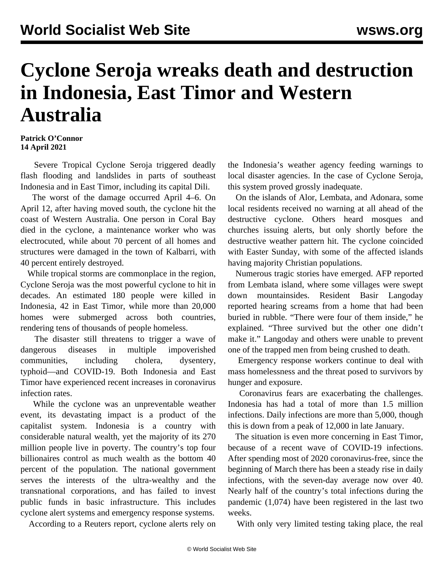## **Cyclone Seroja wreaks death and destruction in Indonesia, East Timor and Western Australia**

## **Patrick O'Connor 14 April 2021**

 Severe Tropical Cyclone Seroja triggered deadly flash flooding and landslides in parts of southeast Indonesia and in East Timor, including its capital Dili.

 The worst of the damage occurred April 4–6. On April 12, after having moved south, the cyclone hit the coast of Western Australia. One person in Coral Bay died in the cyclone, a maintenance worker who was electrocuted, while about 70 percent of all homes and structures were damaged in the town of Kalbarri, with 40 percent entirely destroyed.

 While tropical storms are commonplace in the region, Cyclone Seroja was the most powerful cyclone to hit in decades. An estimated 180 people were killed in Indonesia, 42 in East Timor, while more than 20,000 homes were submerged across both countries, rendering tens of thousands of people homeless.

 The disaster still threatens to trigger a wave of dangerous diseases in multiple impoverished communities, including cholera, dysentery, typhoid—and COVID-19. Both Indonesia and East Timor have experienced recent increases in coronavirus infection rates.

 While the cyclone was an unpreventable weather event, its devastating impact is a product of the capitalist system. Indonesia is a country with considerable natural wealth, yet the majority of its 270 million people live in poverty. The country's top four billionaires control as much wealth as the bottom 40 percent of the population. The national government serves the interests of the ultra-wealthy and the transnational corporations, and has failed to invest public funds in basic infrastructure. This includes cyclone alert systems and emergency response systems.

According to a Reuters report, cyclone alerts rely on

the Indonesia's weather agency feeding warnings to local disaster agencies. In the case of Cyclone Seroja, this system proved grossly inadequate.

 On the islands of Alor, Lembata, and Adonara, some local residents received no warning at all ahead of the destructive cyclone. Others heard mosques and churches issuing alerts, but only shortly before the destructive weather pattern hit. The cyclone coincided with Easter Sunday, with some of the affected islands having majority Christian populations.

 Numerous tragic stories have emerged. AFP reported from Lembata island, where some villages were swept down mountainsides. Resident Basir Langoday reported hearing screams from a home that had been buried in rubble. "There were four of them inside," he explained. "Three survived but the other one didn't make it." Langoday and others were unable to prevent one of the trapped men from being crushed to death.

 Emergency response workers continue to deal with mass homelessness and the threat posed to survivors by hunger and exposure.

 Coronavirus fears are exacerbating the challenges. Indonesia has had a total of more than 1.5 million infections. Daily infections are more than 5,000, though this is down from a peak of 12,000 in late January.

 The situation is even more concerning in East Timor, because of a recent wave of COVID-19 infections. After spending most of 2020 coronavirus-free, since the beginning of March there has been a steady rise in daily infections, with the seven-day average now over 40. Nearly half of the country's total infections during the pandemic (1,074) have been registered in the last two weeks.

With only very limited testing taking place, the real